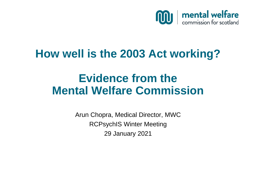

## **How well is the 2003 Act working?**

# **Evidence from the Mental Welfare Commission**

Arun Chopra, Medical Director, MWC RCPsychIS Winter Meeting 29 January 2021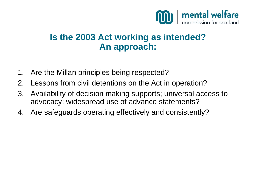

### **Is the 2003 Act working as intended? An approach:**

- 1. Are the Millan principles being respected?
- 2. Lessons from civil detentions on the Act in operation?
- 3. Availability of decision making supports; universal access to advocacy; widespread use of advance statements?
- 4. Are safeguards operating effectively and consistently?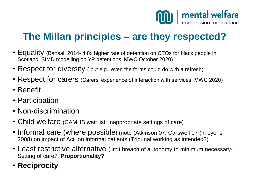

### **The Millan principles – are they respected?**

- Equality (Bansal, 2014- 4.8x higher rate of detention on CTOs for black people in Scotland; SIMD modelling on YP detentions, MWC October 2020)
- Respect for diversity ( but e.g., even the forms could do with a refresh)
- Respect for carers (Carers' experience of interaction with services, MWC 2020)
- Benefit
- Participation
- Non-discrimination
- Child welfare (CAMHS wait list; inappropriate settings of care)
- Informal care (where possible) (note (Atkinson 07, Carswell 07 (in Lyons 2008) on impact of Act on informal patients (Tribunal working as intended?)
- Least restrictive alternative (limit breach of autonomy to minimum necessary-Setting of care?, **Proportionality?**
- **Reciprocity**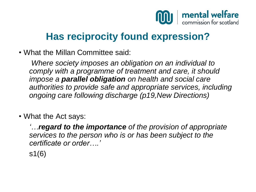

### **Has reciprocity found expression?**

• What the Millan Committee said:

*Where society imposes an obligation on an individual to comply with a programme of treatment and care, it should impose a parallel obligation on health and social care authorities to provide safe and appropriate services, including ongoing care following discharge (p19,New Directions)*

• What the Act says:

*'…regard to the importance of the provision of appropriate services to the person who is or has been subject to the certificate or order….'* 

s1(6)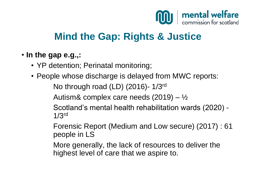

### **Mind the Gap: Rights & Justice**

#### • **In the gap e.g.,:**

- YP detention; Perinatal monitoring;
- People whose discharge is delayed from MWC reports: No through road (LD) (2016)- 1/3rd Autism& complex care needs  $(2019) - \frac{1}{2}$ Scotland's mental health rehabilitation wards (2020) - 1/3rd

Forensic Report (Medium and Low secure) (2017) : 61 people in LS

More generally, the lack of resources to deliver the highest level of care that we aspire to.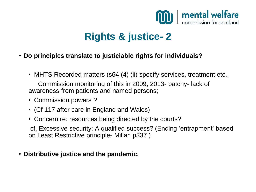

## **Rights & justice- 2**

- **Do principles translate to justiciable rights for individuals?**
	- MHTS Recorded matters (s64 (4) (ii) specify services, treatment etc.,

Commission monitoring of this in 2009, 2013- patchy- lack of awareness from patients and named persons;

- Commission powers ?
- (Cf 117 after care in England and Wales)
- Concern re: resources being directed by the courts?

cf, Excessive security: A qualified success? (Ending 'entrapment' based on Least Restrictive principle- Millan p337 )

• **Distributive justice and the pandemic.**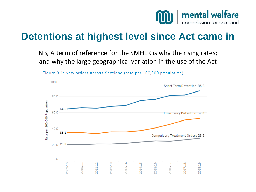

### **Detentions at highest level since Act came in**

NB, A term of reference for the SMHLR is why the rising rates; and why the large geographical variation in the use of the Act



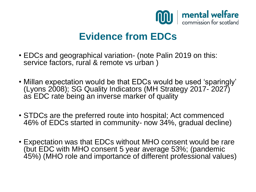

### **Evidence from EDCs**

- EDCs and geographical variation- (note Palin 2019 on this: service factors, rural & remote vs urban )
- Millan expectation would be that EDCs would be used 'sparingly' (Lyons 2008); SG Quality Indicators (MH Strategy 2017- 2027) as EDC rate being an inverse marker of quality
- STDCs are the preferred route into hospital; Act commenced 46% of EDCs started in community- now 34%, gradual decline)
- Expectation was that EDCs without MHO consent would be rare (but EDC with MHO consent 5 year average 53%; (pandemic 45%) (MHO role and importance of different professional values)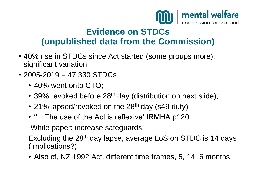

#### **Evidence on STDCs (unpublished data from the Commission)**

- 40% rise in STDCs since Act started (some groups more); significant variation
- $\cdot$  2005-2019 = 47,330 STDCs
	- 40% went onto CTO;
	- 39% revoked before 28<sup>th</sup> day (distribution on next slide);
	- 21% lapsed/revoked on the 28<sup>th</sup> day (s49 duty)
	- "...The use of the Act is reflexive' IRMHA p120

White paper: increase safeguards

Excluding the 28th day lapse, average LoS on STDC is 14 days (Implications?)

• Also cf, NZ 1992 Act, different time frames, 5, 14, 6 months.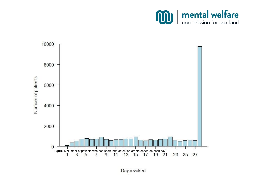



Day revoked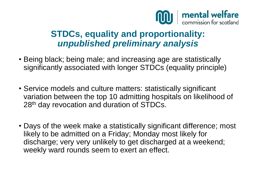

### **STDCs, equality and proportionality:**  *unpublished preliminary analysis*

- Being black; being male; and increasing age are statistically significantly associated with longer STDCs (equality principle)
- Service models and culture matters: statistically significant variation between the top 10 admitting hospitals on likelihood of 28<sup>th</sup> day revocation and duration of STDCs.
- Days of the week make a statistically significant difference; most likely to be admitted on a Friday; Monday most likely for discharge; very very unlikely to get discharged at a weekend; weekly ward rounds seem to exert an effect.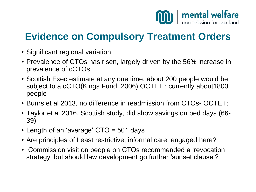

### **Evidence on Compulsory Treatment Orders**

- Significant regional variation
- Prevalence of CTOs has risen, largely driven by the 56% increase in prevalence of cCTOs
- Scottish Exec estimate at any one time, about 200 people would be subject to a cCTO(Kings Fund, 2006) OCTET ; currently about1800 people
- Burns et al 2013, no difference in readmission from CTOs- OCTET;
- Taylor et al 2016, Scottish study, did show savings on bed days (66- 39)
- Length of an 'average' CTO = 501 days
- Are principles of Least restrictive; informal care, engaged here?
- Commission visit on people on CTOs recommended a 'revocation strategy' but should law development go further 'sunset clause'?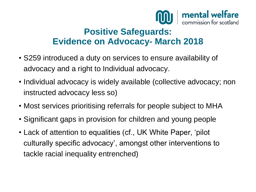

#### **Positive Safeguards: Evidence on Advocacy- March 2018**

- S259 introduced a duty on services to ensure availability of advocacy and a right to Individual advocacy.
- Individual advocacy is widely available (collective advocacy; non instructed advocacy less so)
- Most services prioritising referrals for people subject to MHA
- Significant gaps in provision for children and young people
- Lack of attention to equalities (cf., UK White Paper, 'pilot culturally specific advocacy', amongst other interventions to tackle racial inequality entrenched)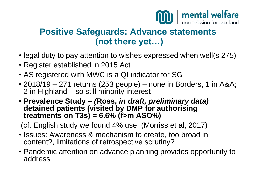

#### **Positive Safeguards: Advance statements (not there yet…)**

- legal duty to pay attention to wishes expressed when well(s 275)
- Register established in 2015 Act
- AS registered with MWC is a QI indicator for SG
- 2018/19 271 returns (253 people) none in Borders, 1 in A&A; 2 in Highland – so still minority interest
- **Prevalence Study –** *(***Ross,** *in draft, preliminary data)*  **detained patients (visited by DMP for authorising treatments on T3s) = 6.6% (f>m ASO%)**

(cf, English study we found 4% use (Morriss et al, 2017)

- Issues: Awareness & mechanism to create, too broad in content?, limitations of retrospective scrutiny?
- Pandemic attention on advance planning provides opportunity to address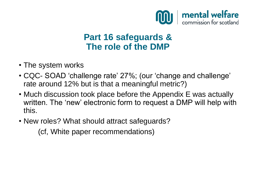

### **Part 16 safeguards & The role of the DMP**

- The system works
- CQC- SOAD 'challenge rate' 27%; (our 'change and challenge' rate around 12% but is that a meaningful metric?)
- Much discussion took place before the Appendix E was actually written. The 'new' electronic form to request a DMP will help with this.
- New roles? What should attract safeguards?

(cf, White paper recommendations)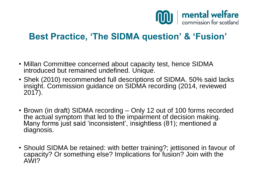

### **Best Practice, 'The SIDMA question' & 'Fusion'**

- Millan Committee concerned about capacity test, hence SIDMA introduced but remained undefined. Unique.
- Shek (2010) recommended full descriptions of SIDMA. 50% said lacks insight. Commission guidance on SIDMA recording (2014, reviewed 2017).
- Brown (in draft) SIDMA recording Only 12 out of 100 forms recorded the actual symptom that led to the impairment of decision making. Many forms just said 'inconsistent', insightless (81); mentioned a diagnosis.
- Should SIDMA be retained: with better training?; jettisoned in favour of capacity? Or something else? Implications for fusion? Join with the AWI?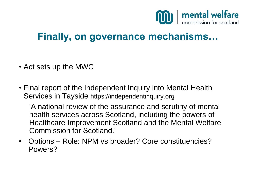

### **Finally, on governance mechanisms…**

- Act sets up the MWC
- Final report of the Independent Inquiry into Mental Health Services in Tayside https://independentinquiry.org

'A national review of the assurance and scrutiny of mental health services across Scotland, including the powers of Healthcare Improvement Scotland and the Mental Welfare Commission for Scotland.'

• Options – Role: NPM vs broader? Core constituencies? Powers?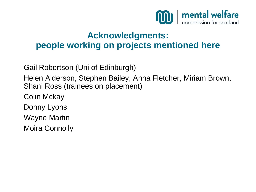

#### **Acknowledgments: people working on projects mentioned here**

Gail Robertson (Uni of Edinburgh)

Helen Alderson, Stephen Bailey, Anna Fletcher, Miriam Brown, Shani Ross (trainees on placement)

Colin Mckay

Donny Lyons

Wayne Martin

Moira Connolly